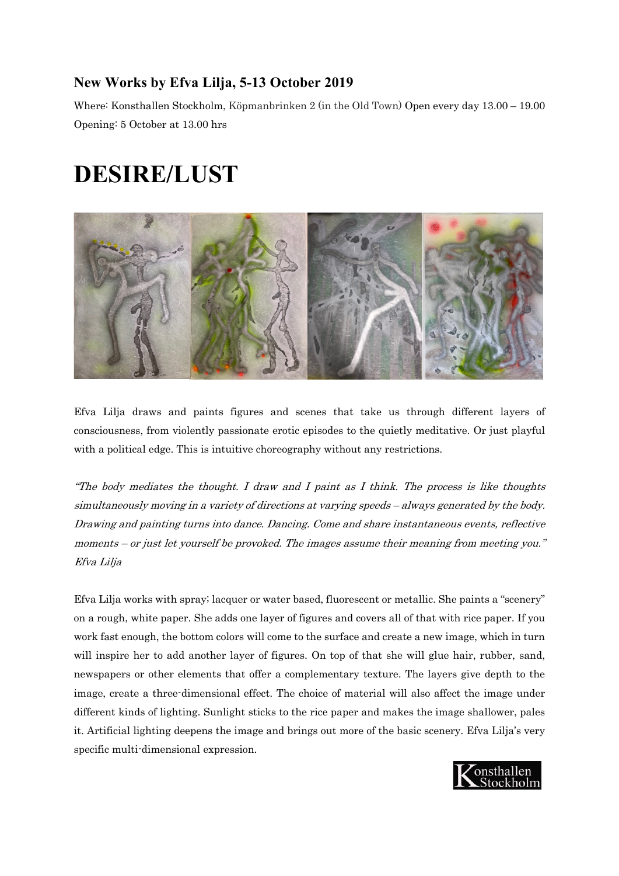## **New Works by Efva Lilja, 5-13 October 2019**

Where: Konsthallen Stockholm, Köpmanbrinken 2 (in the Old Town) Open every day 13.00 – 19.00 Opening: 5 October at 13.00 hrs

## **DESIRE/LUST**



Efva Lilja draws and paints figures and scenes that take us through different layers of consciousness, from violently passionate erotic episodes to the quietly meditative. Or just playful with a political edge. This is intuitive choreography without any restrictions.

"The body mediates the thought. I draw and I paint as I think. The process is like thoughts simultaneously moving in a variety of directions at varying speeds – always generated by the body. Drawing and painting turns into dance. Dancing. Come and share instantaneous events, reflective moments – or just let yourself be provoked. The images assume their meaning from meeting you." Efva Lilja

Efva Lilja works with spray; lacquer or water based, fluorescent or metallic. She paints a "scenery" on a rough, white paper. She adds one layer of figures and covers all of that with rice paper. If you work fast enough, the bottom colors will come to the surface and create a new image, which in turn will inspire her to add another layer of figures. On top of that she will glue hair, rubber, sand, newspapers or other elements that offer a complementary texture. The layers give depth to the image, create a three-dimensional effect. The choice of material will also affect the image under different kinds of lighting. Sunlight sticks to the rice paper and makes the image shallower, pales it. Artificial lighting deepens the image and brings out more of the basic scenery. Efva Lilja's very specific multi-dimensional expression.